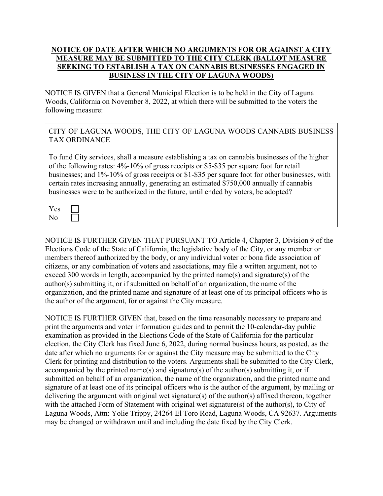## NOTICE OF DATE AFTER WHICH NO ARGUMENTS FOR OR AGAINST A CITY MEASURE MAY BE SUBMITTED TO THE CITY CLERK (BALLOT MEASURE SEEKING TO ESTABLISH A TAX ON CANNABIS BUSINESSES ENGAGED IN BUSINESS IN THE CITY OF LAGUNA WOODS)

NOTICE IS GIVEN that a General Municipal Election is to be held in the City of Laguna Woods, California on November 8, 2022, at which there will be submitted to the voters the following measure:

CITY OF LAGUNA WOODS, THE CITY OF LAGUNA WOODS CANNABIS BUSINESS TAX ORDINANCE

To fund City services, shall a measure establishing a tax on cannabis businesses of the higher of the following rates: 4%-10% of gross receipts or \$5-\$35 per square foot for retail businesses; and 1%-10% of gross receipts or \$1-\$35 per square foot for other businesses, with certain rates increasing annually, generating an estimated \$750,000 annually if cannabis businesses were to be authorized in the future, until ended by voters, be adopted?

| ١<br>es |  |
|---------|--|
| l.      |  |

NOTICE IS FURTHER GIVEN THAT PURSUANT TO Article 4, Chapter 3, Division 9 of the Elections Code of the State of California, the legislative body of the City, or any member or members thereof authorized by the body, or any individual voter or bona fide association of citizens, or any combination of voters and associations, may file a written argument, not to exceed 300 words in length, accompanied by the printed name(s) and signature(s) of the author(s) submitting it, or if submitted on behalf of an organization, the name of the organization, and the printed name and signature of at least one of its principal officers who is the author of the argument, for or against the City measure.

NOTICE IS FURTHER GIVEN that, based on the time reasonably necessary to prepare and print the arguments and voter information guides and to permit the 10-calendar-day public examination as provided in the Elections Code of the State of California for the particular election, the City Clerk has fixed June 6, 2022, during normal business hours, as posted, as the date after which no arguments for or against the City measure may be submitted to the City Clerk for printing and distribution to the voters. Arguments shall be submitted to the City Clerk, accompanied by the printed name(s) and signature(s) of the author(s) submitting it, or if submitted on behalf of an organization, the name of the organization, and the printed name and signature of at least one of its principal officers who is the author of the argument, by mailing or delivering the argument with original wet signature(s) of the author(s) affixed thereon, together with the attached Form of Statement with original wet signature(s) of the author(s), to City of Laguna Woods, Attn: Yolie Trippy, 24264 El Toro Road, Laguna Woods, CA 92637. Arguments may be changed or withdrawn until and including the date fixed by the City Clerk.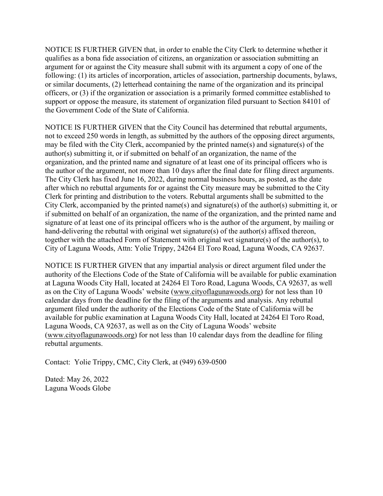NOTICE IS FURTHER GIVEN that, in order to enable the City Clerk to determine whether it qualifies as a bona fide association of citizens, an organization or association submitting an argument for or against the City measure shall submit with its argument a copy of one of the following: (1) its articles of incorporation, articles of association, partnership documents, bylaws, or similar documents, (2) letterhead containing the name of the organization and its principal officers, or (3) if the organization or association is a primarily formed committee established to support or oppose the measure, its statement of organization filed pursuant to Section 84101 of the Government Code of the State of California.

NOTICE IS FURTHER GIVEN that the City Council has determined that rebuttal arguments, not to exceed 250 words in length, as submitted by the authors of the opposing direct arguments, may be filed with the City Clerk, accompanied by the printed name(s) and signature(s) of the author(s) submitting it, or if submitted on behalf of an organization, the name of the organization, and the printed name and signature of at least one of its principal officers who is the author of the argument, not more than 10 days after the final date for filing direct arguments. The City Clerk has fixed June 16, 2022, during normal business hours, as posted, as the date after which no rebuttal arguments for or against the City measure may be submitted to the City Clerk for printing and distribution to the voters. Rebuttal arguments shall be submitted to the City Clerk, accompanied by the printed name(s) and signature(s) of the author(s) submitting it, or if submitted on behalf of an organization, the name of the organization, and the printed name and signature of at least one of its principal officers who is the author of the argument, by mailing or hand-delivering the rebuttal with original wet signature(s) of the author(s) affixed thereon, together with the attached Form of Statement with original wet signature(s) of the author(s), to City of Laguna Woods, Attn: Yolie Trippy, 24264 El Toro Road, Laguna Woods, CA 92637.

NOTICE IS FURTHER GIVEN that any impartial analysis or direct argument filed under the authority of the Elections Code of the State of California will be available for public examination at Laguna Woods City Hall, located at 24264 El Toro Road, Laguna Woods, CA 92637, as well as on the City of Laguna Woods' website (www.cityoflagunawoods.org) for not less than 10 calendar days from the deadline for the filing of the arguments and analysis. Any rebuttal argument filed under the authority of the Elections Code of the State of California will be available for public examination at Laguna Woods City Hall, located at 24264 El Toro Road, Laguna Woods, CA 92637, as well as on the City of Laguna Woods' website (www.cityoflagunawoods.org) for not less than 10 calendar days from the deadline for filing rebuttal arguments.

Contact: Yolie Trippy, CMC, City Clerk, at (949) 639-0500

Dated: May 26, 2022 Laguna Woods Globe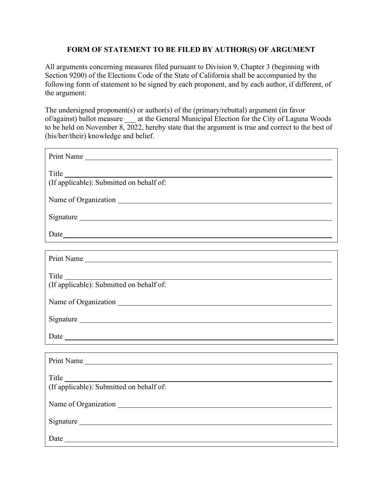## FORM OF STATEMENT TO BE FILED BY AUTHOR(S) OF ARGUMENT

All arguments concerning measures filed pursuant to Division 9, Chapter 3 (beginning with Section 9200) of the Elections Code of the State of California shall be accompanied by the following form of statement to be signed by each proponent, and by each author, if different, of the argument:

The undersigned proponent(s) or author(s) of the (primary/rebuttal) argument (in favor of/against) ballot measure at the General Municipal Election for the City of Laguna Woods to be held on November 8, 2022, hereby state that the argument is true and correct to the best of (his/her/their) knowledge and belief.

| Print Name                                                                                                                             |
|----------------------------------------------------------------------------------------------------------------------------------------|
| <b>Title</b><br><u> 1989 - Johann Stoff, deutscher Stoff, der Stoff, der Stoff, der Stoff, der Stoff, der Stoff, der Stoff, der S</u>  |
| (If applicable): Submitted on behalf of:                                                                                               |
|                                                                                                                                        |
|                                                                                                                                        |
|                                                                                                                                        |
|                                                                                                                                        |
| Print Name                                                                                                                             |
| <b>Title</b><br><u> 1980 - Johann Stoff, deutscher Stoffen und der Stoffen und der Stoffen und der Stoffen und der Stoffen und der</u> |
| (If applicable): Submitted on behalf of:                                                                                               |
|                                                                                                                                        |
|                                                                                                                                        |
|                                                                                                                                        |
|                                                                                                                                        |
| Print Name                                                                                                                             |
| <b>Title</b>                                                                                                                           |
| (If applicable): Submitted on behalf of:                                                                                               |
|                                                                                                                                        |
|                                                                                                                                        |
| Date                                                                                                                                   |